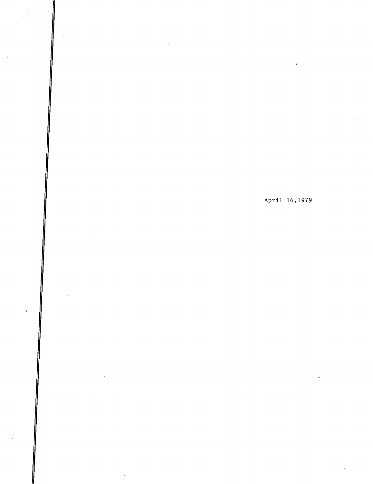April 16,1979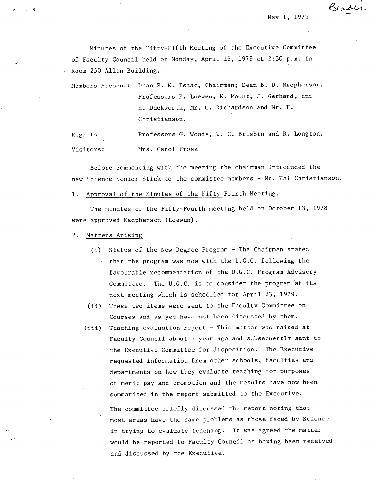May 1, 1979

Binder

Minutes of the Fifty-Fifth Meeting of the Executive Committee of Faculty Council held on Monday, April 16, 1979 at 2:30 p.m. in Room 250 Allen Building.

Members Present: Dean P. K. Isaac, Chairman; Dean B. D. Macpherson, Professors P. Loewen, K. Mount, J. Gerhard, and H. Duckworth, Mr. G. Richardson and Mr. H. Christianson.

Regrets: Professors C. Woods, W. C. Brisbin and R. Longton. Visitors: Mrs. Carol Prosk

Before commencing with the meeting the chairman introduced the new Science Senior Stick to the committee members - Mr. Hal Christianson.

# 1. Approval of the Minutes of the Fifty-Fourth Meeting.

The minutes of the Fifty-Fourth meeting held on October 13, 1978 were approved Macpher son (Loewen).

 $2.$ Matters Arising

- (i) Status of the New Degree Program The Chairman stated that the program was now with the U.G.C. following the  $\mathcal{L}_{\text{max}}$ favourable recommendation of the U.G.C. Program Advisory Committee. The U.G.C. is to consider the program at its next meeting which is scheduled for April 23, 1979.
- These two items were sent to the Faculty Committee on  $(ii)$ Courses and as yet have not been discussed by them.
- Teaching evaluation report This matter was raised at  $(iii)$ Faculty Council about a year ago and subsequently sent to the Executive Committee for disposition. The Executive requested information from other schools, faculties and departments on how they evaluate teaching for purposes of merit pay and promotion and the results have now been summarized in the report submitted to the Executive.

The committee briefly discussed the report noting that most areas have the same problems as.those faced by Science in trying to evaluate teaching. It was agreed the matter would be reported to Faculty Council as having been received and discussed by the Executive.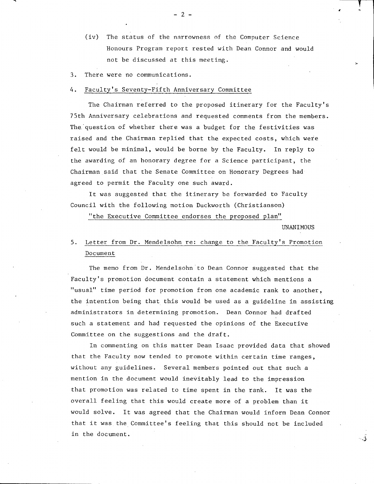- (iv) The status of the narrowness of the Computer Science Honours Program report rested with Dean Connor and would not be discussed at this meeting.
- There were no communications.  $3.$

#### 4. Faculty's Seventy-Fifth Anniversary Committee

The Chairman referred to the proposed itinerary for the Faculty's 75th Anniversary celebrations and requested comments from the members. The question of whether there was a budget for the festivities was raised and the Chairman replied that the expected costs, which were felt would be minimal, would be borne by the Faculty. In reply to the awarding of an honorary degree for a Science participant, the Chairman said that the Senate Committee on Honorary Degrees had agreed to permit the Faculty one such award.

It was suggested that the itinerary be forwarded to Faculty Council with the following motion Duckworth (Christianson)

"the Executive Committee endorses the proposed plan"

UNANIMOUS

C

# 5. Letter from Dr. Mendelsohn re: change to the Faculty's Promotion Document

The memo from Dr. Mendelsohn to Dean Connor suggested that the Faculty's promotion document contain a statement which mentions a "usual" time period for promotion from one academic rank to another, the intention being that this would be used as a guideline in assisting administrators in determining promotion. Dean Connor had drafted such a statement and had requested the opinions of the Executive Committee on the suggestions and the draft.

In commenting on this matter Dean Isaac provided data that showed that the Faculty now tended to promote within certain time ranges, without any guidelines. Several members pointed out that such a mention in the document would inevitably lead to the impression that promotion was related to time spent in the rank. It was the overall feeling that this would create more of a problem than it would solve. It was agreed that the Chairman would inform Dean Connor that it was the Committee's feeling that this should not be included in the document.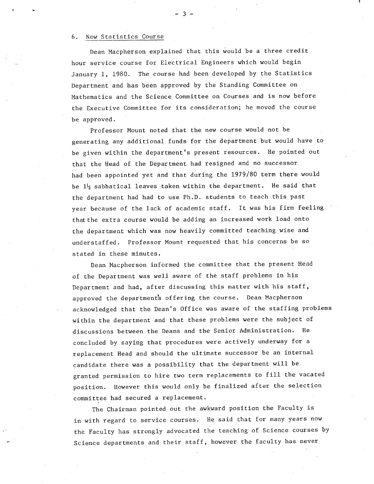### 6. New Statistics Course

Dean Macpherson explained that this would be a three credit hour service course for. Electrical Engineers which would begin January 1, 1980. The course had been developed by the Statistics Department and has been approved by the Standing Committee on Mathematics and the Science Committee on Courses and is now before the Executive Committee for its consideration; he moved the course be approved.

Professor Mount noted that the new course would not be generating any additional funds for the department but would have to be given within the department's present resources. He pointed out that the Head of the Department had resigned and no successor had been appointed yet and that during the 1979/80 term there would be  $1\frac{1}{2}$  sabbatical leaves taken within the department. He said that the department had had to use Ph.D. students to teach this past year because of the lack of academic staff. It was his firm feeling that the extra course would be adding an increased work load onto the department which was now heavily committed teaching wise and understaffed. Professor Mount requested that his concerns be so stated in these minutes.

Dean Macpherson informed the committee that the present Head of the Department was well aware of the staff problems in his Department and had, after discussing this matter with his staff, approved the department's offering the course. Dean Macpherson acknowledged that the Dean's Office was aware of the staffing problems within the department and that these problems were the subject of discussions between the Deans and the Senior Administration. He concluded by saying that procedures were actively underway for a replacement Head and should the ultimate successor be an internal candidate there was a possibility that the department will be granted permission to hire two term replacements to fill the vacated position. However this would only be finalized after the selection committee had secured a replacement.

The Chairman pointed out the awkward position the Faculty is in with regard to service courses. He said that for many years now the Faculty has strongly advocated the teaching of Science courses by Science departments and their staff, however the faculty has never

- 3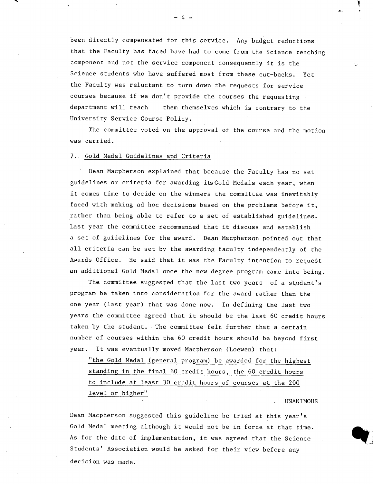been directly compensated for this service. Any budget reductions that the Faculty has faced have had to come from the Science teaching component and not the service component consequently it is the Science students who have suffered most from these cut-backs. Yet the Faculty was reluctant to turn down the requests for service courses because if we don't provide the courses the requesting department will teach them themselves which is contrary to the University Service Course Policy.

-4-

The committee voted on the approval of the course and the motion was carried.

### 7. Gold Medal Guidelines and Criteria

Dean Macpherson explained that because the Faculty has no set guidelines or criteria for awarding itsGold Medals each year, when it comes time to decide on the winners the committee was inevitably faced with making ad hoc decisions based on the problems before it, rather than being able to refer to a set of established guidelines. Last year the committee recommended that it discuss and establish a set of guidelines for the award. Dean Macpherson pointed out that all criteria can be set by the awarding faculty independently of the Awards Office. He said that it was the Faculty intention to request an additional Gold Medal once the new degree program came into being.

The committee suggested that the last two years of a student's program be taken into consideration for the award rather than the one year (last year) that was done now. In defining the last two years the committee agreed that it should be the last 60 credit hours taken by the student. The committee felt further that a certain number of courses within the 60 credit hours should be beyond first year. It was eventually moved Macpherson (Loewen) that:

"the Gold Medal (general program) be awarded for the highest standing in the final 60 credit hours, the 60 credit hours to include at least 30 credit hours of courses at the 200 level or higher"

**UNANIMOUS** 

Dean Macpherson suggested this guideline be tried at this year's Gold Medal meeting although it would not be in force at that time. As for the date of implementation, it was agreed that the Science Students' Association would be asked for their view before any decision was made.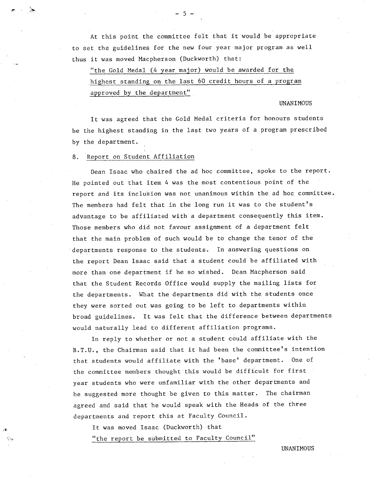At this point the committee felt that it would be appropriate to set the guidelines for the new four year major program as well thus it was moved Macpherson (Duckworth) that:

-5-

"the Gold Medal (4 year major) would be awarded for the highest standing on the last 60 credit hours of a program approved by the department"

#### UNANIMOUS

It was agreed that the Gold Medal criteria for honours students be the highest standing in the last two years of a program prescribed by the department.

8. Report on Student Affiliation

Dean Isaac who chaired the ad hoc committee, spoke to the report. He pointed out that item 4 was the most contentious point of the report and its inclusion was not unanimous within the ad hoc committee. The members had felt that in the long run it was to the student's advantage to be affiliated with a department consequently this item. Those members who did not favour assignment of a department felt that the main problem of such would be to change the tenor of the departments response to the students. In answering questions on the report Dean Isaac said that a student could be affiliated with more than one department if he so wished. Dean Macpherson said that the Student Records Office would supply the mailing lists for the departments. What the departments did with the students once they were sorted out was going to be left to departments within broad guidelines. It was felt that the difference between departments would naturally lead to different affiliation programs.

In reply to whether or not a student could affiliate with the B.T.U., the Chairman said that it had been the committee's intention that students would affiliate with the 'base' department. One of the committee members thought this would be difficult for first year students who were unfamiliar with the other departments and he suggested more thought be given to this matter. The chairman agreed and said that he would speak with the Heads of the three departments and report this at Faculty Council.

It was moved Isaac (Duckworth) that

"the report be submitted to Faculty Council"

UNANIMOUS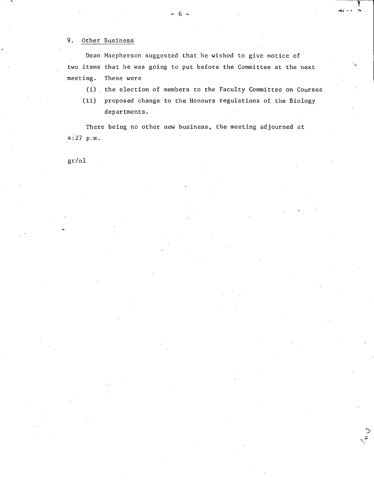# 9. Other Business

Dean Macpherson suggested that he wished to give notice of two items that he was going to put before the Committee at the next meeting. These were

(i) the election of members to the Faculty Committee on Courses

و<br>هي

 $(ii)$ proposed change to the Honours regulations of the Biology departments.

There being no other new business, the meeting adjourned at 4:27 p.m.

gr/nl